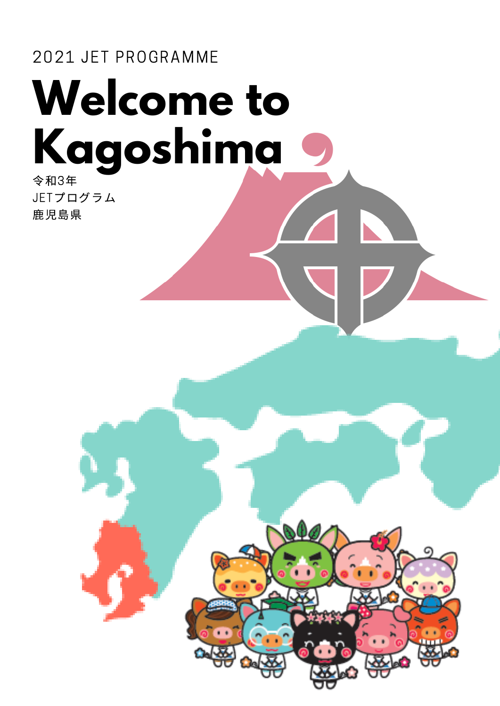# **Welcome to Kagoshima** 2021 JET PROGRAMME 令和3年

JETプログラム 鹿児島県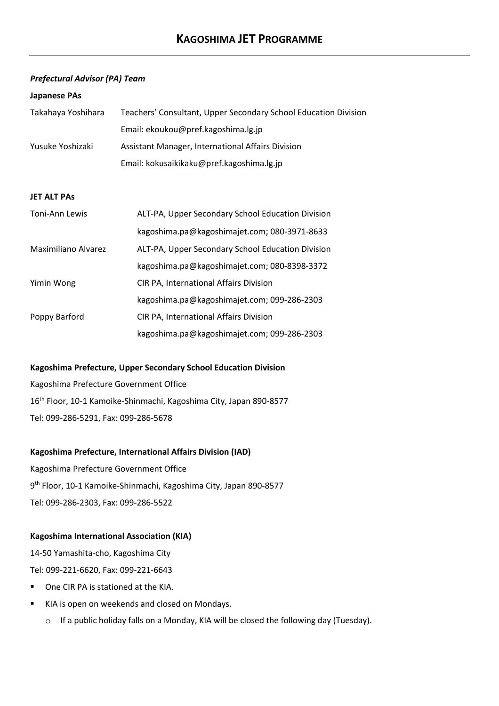#### *Prefectural Advisor (PA) Team*

#### **Japanese PAs**

| Takahaya Yoshihara | Teachers' Consultant, Upper Secondary School Education Division |  |
|--------------------|-----------------------------------------------------------------|--|
| Yusuke Yoshizaki   | Email: ekoukou@pref.kagoshima.lg.jp                             |  |
|                    | Assistant Manager, International Affairs Division               |  |
|                    | Email: kokusaikikaku@pref.kagoshima.lg.jp                       |  |

#### **JET ALT PAs**

| Toni-Ann Lewis      | ALT-PA, Upper Secondary School Education Division |
|---------------------|---------------------------------------------------|
|                     | kagoshima.pa@kagoshimajet.com; 080-3971-8633      |
| Maximiliano Alvarez | ALT-PA, Upper Secondary School Education Division |
|                     | kagoshima.pa@kagoshimajet.com; 080-8398-3372      |
| Yimin Wong          | CIR PA, International Affairs Division            |
|                     | kagoshima.pa@kagoshimajet.com; 099-286-2303       |
| Poppy Barford       | CIR PA, International Affairs Division            |
|                     | kagoshima.pa@kagoshimajet.com; 099-286-2303       |

#### **Kagoshima Prefecture, Upper Secondary School Education Division**

Kagoshima Prefecture Government Office 16<sup>th</sup> Floor, 10-1 Kamoike-Shinmachi, Kagoshima City, Japan 890-8577 Tel: 099-286-5291, Fax: 099-286-5678

#### **Kagoshima Prefecture, International Affairs Division (IAD)**

Kagoshima Prefecture Government Office 9th Floor, 10-1 Kamoike-Shinmachi, Kagoshima City, Japan 890-8577 Tel: 099-286-2303, Fax: 099-286-5522

#### **Kagoshima International Association (KIA)**

14-50 Yamashita-cho, Kagoshima City Tel: 099-221-6620, Fax: 099-221-6643

- § One CIR PA is stationed at the KIA.
- KIA is open on weekends and closed on Mondays.
	- o If a public holiday falls on a Monday, KIA will be closed the following day (Tuesday).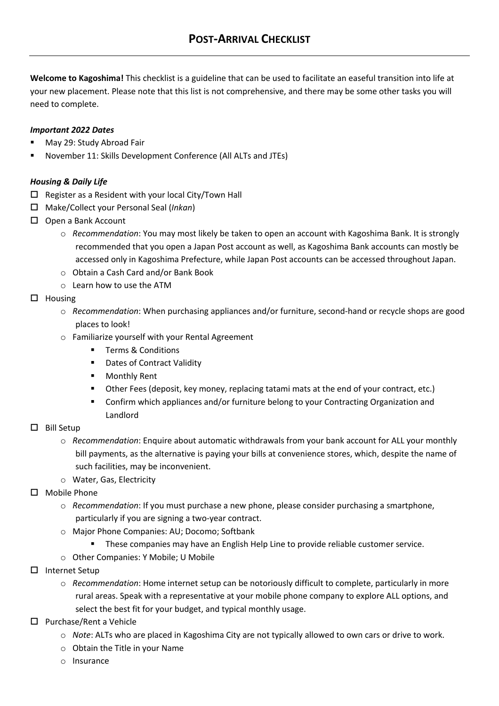**Welcome to Kagoshima!** This checklist is a guideline that can be used to facilitate an easeful transition into life at your new placement. Please note that this list is not comprehensive, and there may be some other tasks you will need to complete.

# *Important 2022 Dates*

- § May 29: Study Abroad Fair
- § November 11: Skills Development Conference (All ALTs and JTEs)

# *Housing & Daily Life*

- $\Box$  Register as a Resident with your local City/Town Hall
- o Make/Collect your Personal Seal (*Inkan*)
- $\Box$  Open a Bank Account
	- o *Recommendation*: You may most likely be taken to open an account with Kagoshima Bank. It is strongly recommended that you open a Japan Post account as well, as Kagoshima Bank accounts can mostly be accessed only in Kagoshima Prefecture, while Japan Post accounts can be accessed throughout Japan.
	- o Obtain a Cash Card and/or Bank Book
	- o Learn how to use the ATM
- $\square$  Housing
	- o *Recommendation*: When purchasing appliances and/or furniture, second-hand or recycle shops are good places to look!
	- o Familiarize yourself with your Rental Agreement
		- Terms & Conditions
		- Dates of Contract Validity
		- Monthly Rent
		- Other Fees (deposit, key money, replacing tatami mats at the end of your contract, etc.)
		- § Confirm which appliances and/or furniture belong to your Contracting Organization and Landlord

## $\square$  Bill Setup

- o *Recommendation*: Enquire about automatic withdrawals from your bank account for ALL your monthly bill payments, as the alternative is paying your bills at convenience stores, which, despite the name of such facilities, may be inconvenient.
- o Water, Gas, Electricity
- $\Pi$  Mobile Phone
	- o *Recommendation*: If you must purchase a new phone, please consider purchasing a smartphone, particularly if you are signing a two-year contract.
	- o Major Phone Companies: AU; Docomo; Softbank
		- § These companies may have an English Help Line to provide reliable customer service.
	- o Other Companies: Y Mobile; U Mobile
- $\square$  Internet Setup
	- o *Recommendation*: Home internet setup can be notoriously difficult to complete, particularly in more rural areas. Speak with a representative at your mobile phone company to explore ALL options, and select the best fit for your budget, and typical monthly usage.
- $\square$  Purchase/Rent a Vehicle
	- o *Note*: ALTs who are placed in Kagoshima City are not typically allowed to own cars or drive to work.
	- o Obtain the Title in your Name
	- o Insurance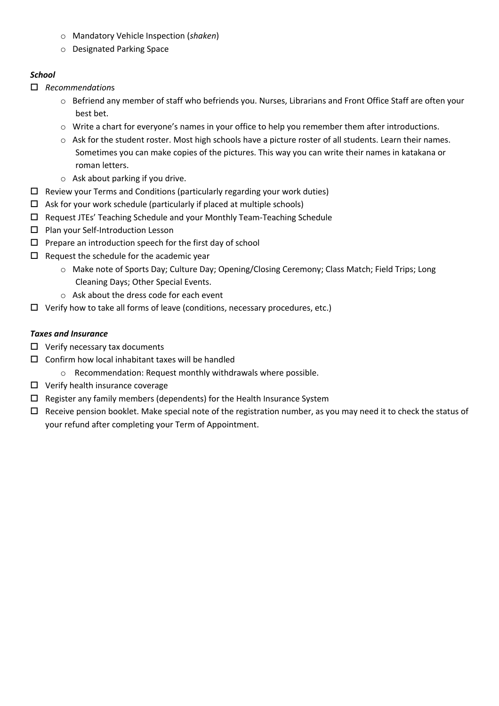- o Mandatory Vehicle Inspection (*shaken*)
- o Designated Parking Space

# *School*

- o *Recommendation*s
	- o Befriend any member of staff who befriends you. Nurses, Librarians and Front Office Staff are often your best bet.
	- $\circ$  Write a chart for everyone's names in your office to help you remember them after introductions.
	- $\circ$  Ask for the student roster. Most high schools have a picture roster of all students. Learn their names. Sometimes you can make copies of the pictures. This way you can write their names in katakana or roman letters.
	- o Ask about parking if you drive.
- $\Box$  Review your Terms and Conditions (particularly regarding your work duties)
- $\Box$  Ask for your work schedule (particularly if placed at multiple schools)
- $\square$  Request JTEs' Teaching Schedule and your Monthly Team-Teaching Schedule
- $\square$  Plan your Self-Introduction Lesson
- $\square$  Prepare an introduction speech for the first day of school
- $\square$  Request the schedule for the academic year
	- o Make note of Sports Day; Culture Day; Opening/Closing Ceremony; Class Match; Field Trips; Long Cleaning Days; Other Special Events.
	- o Ask about the dress code for each event
- $\Box$  Verify how to take all forms of leave (conditions, necessary procedures, etc.)

# *Taxes and Insurance*

- $\Box$  Verify necessary tax documents
- $\square$  Confirm how local inhabitant taxes will be handled
	- o Recommendation: Request monthly withdrawals where possible.
- $\Box$  Verify health insurance coverage
- $\square$  Register any family members (dependents) for the Health Insurance System
- $\Box$  Receive pension booklet. Make special note of the registration number, as you may need it to check the status of your refund after completing your Term of Appointment.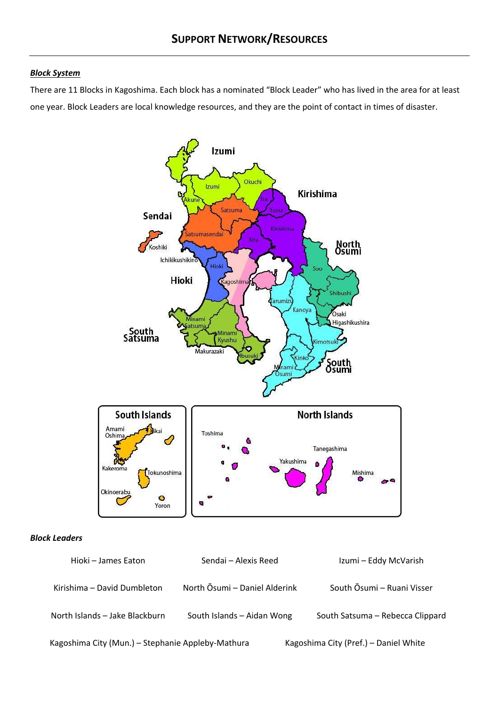#### *Block System*

There are 11 Blocks in Kagoshima. Each block has a nominated "Block Leader" who has lived in the area for at least one year. Block Leaders are local knowledge resources, and they are the point of contact in times of disaster.



#### *Block Leaders*

| Hioki - James Eaton                               | Sendai - Alexis Reed          | Izumi - Eddy McVarish                 |
|---------------------------------------------------|-------------------------------|---------------------------------------|
| Kirishima – David Dumbleton                       | North Osumi - Daniel Alderink | South Osumi – Ruani Visser            |
| North Islands - Jake Blackburn                    | South Islands - Aidan Wong    | South Satsuma - Rebecca Clippard      |
| Kagoshima City (Mun.) - Stephanie Appleby-Mathura |                               | Kagoshima City (Pref.) - Daniel White |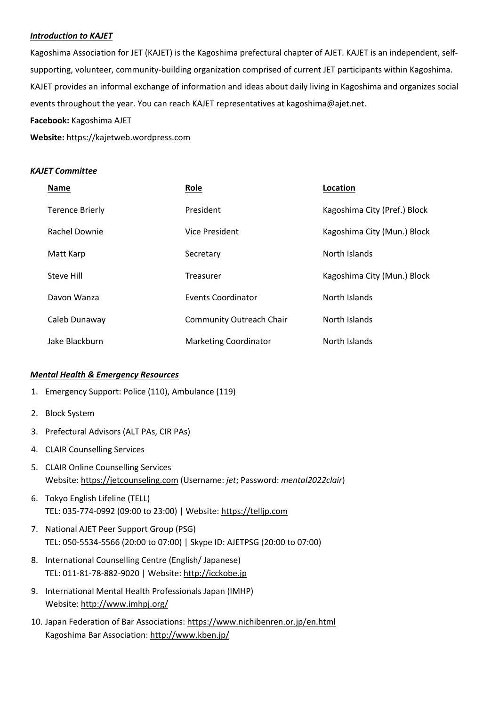#### *Introduction to KAJET*

Kagoshima Association for JET (KAJET) is the Kagoshima prefectural chapter of AJET. KAJET is an independent, selfsupporting, volunteer, community-building organization comprised of current JET participants within Kagoshima. KAJET provides an informal exchange of information and ideas about daily living in Kagoshima and organizes social events throughout the year. You can reach KAJET representatives at kagoshima@ajet.net.

#### **Facebook:** Kagoshima AJET

**Website:** https://kajetweb.wordpress.com

#### *KAJET Committee*

| <b>Name</b>            | Role                            | Location                     |
|------------------------|---------------------------------|------------------------------|
| <b>Terence Brierly</b> | President                       | Kagoshima City (Pref.) Block |
| Rachel Downie          | Vice President                  | Kagoshima City (Mun.) Block  |
| Matt Karp              | Secretary                       | North Islands                |
| Steve Hill             | Treasurer                       | Kagoshima City (Mun.) Block  |
| Davon Wanza            | Events Coordinator              | North Islands                |
| Caleb Dunaway          | <b>Community Outreach Chair</b> | North Islands                |
| Jake Blackburn         | <b>Marketing Coordinator</b>    | North Islands                |

#### *Mental Health & Emergency Resources*

- 1. Emergency Support: Police (110), Ambulance (119)
- 2. Block System
- 3. Prefectural Advisors (ALT PAs, CIR PAs)
- 4. CLAIR Counselling Services
- 5. CLAIR Online Counselling Services Website: https://jetcounseling.com (Username: *jet*; Password: *mental2022clair*)
- 6. Tokyo English Lifeline (TELL) TEL: 035-774-0992 (09:00 to 23:00) | Website: https://telljp.com
- 7. National AJET Peer Support Group (PSG) TEL: 050-5534-5566 (20:00 to 07:00) | Skype ID: AJETPSG (20:00 to 07:00)
- 8. International Counselling Centre (English/ Japanese) TEL: 011-81-78-882-9020 | Website: http://icckobe.jp
- 9. International Mental Health Professionals Japan (IMHP) Website: http://www.imhpj.org/
- 10. Japan Federation of Bar Associations: https://www.nichibenren.or.jp/en.html Kagoshima Bar Association: http://www.kben.jp/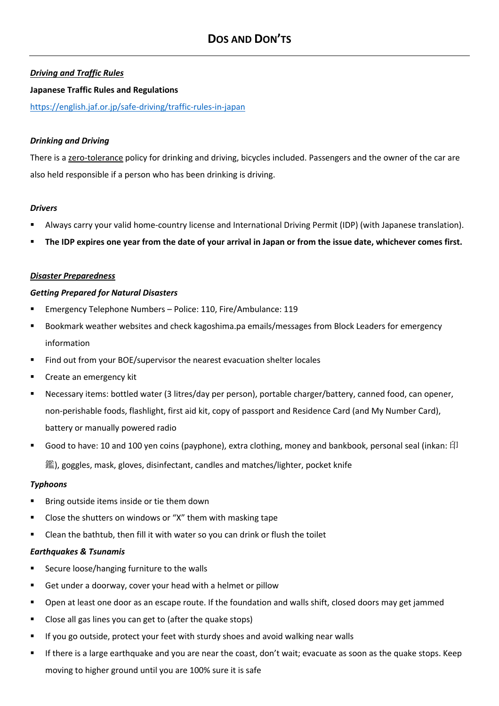## *Driving and Traffic Rules*

#### **Japanese Traffic Rules and Regulations**

https://english.jaf.or.jp/safe-driving/traffic-rules-in-japan

#### *Drinking and Driving*

There is a zero-tolerance policy for drinking and driving, bicycles included. Passengers and the owner of the car are also held responsible if a person who has been drinking is driving.

#### *Drivers*

- § Always carry your valid home-country license and International Driving Permit (IDP) (with Japanese translation).
- § **The IDP expires one year from the date of your arrival in Japan or from the issue date, whichever comes first.**

#### *Disaster Preparedness*

#### *Getting Prepared for Natural Disasters*

- § Emergency Telephone Numbers Police: 110, Fire/Ambulance: 119
- § Bookmark weather websites and check kagoshima.pa emails/messages from Block Leaders for emergency information
- Find out from your BOE/supervisor the nearest evacuation shelter locales
- § Create an emergency kit
- § Necessary items: bottled water (3 litres/day per person), portable charger/battery, canned food, can opener, non-perishable foods, flashlight, first aid kit, copy of passport and Residence Card (and My Number Card), battery or manually powered radio
- Good to have: 10 and 100 yen coins (payphone), extra clothing, money and bankbook, personal seal (inkan: 印 鑑), goggles, mask, gloves, disinfectant, candles and matches/lighter, pocket knife

#### *Typhoons*

- § Bring outside items inside or tie them down
- Close the shutters on windows or "X" them with masking tape
- § Clean the bathtub, then fill it with water so you can drink or flush the toilet

#### *Earthquakes & Tsunamis*

- § Secure loose/hanging furniture to the walls
- Get under a doorway, cover your head with a helmet or pillow
- § Open at least one door as an escape route. If the foundation and walls shift, closed doors may get jammed
- § Close all gas lines you can get to (after the quake stops)
- If you go outside, protect your feet with sturdy shoes and avoid walking near walls
- If there is a large earthquake and you are near the coast, don't wait; evacuate as soon as the quake stops. Keep moving to higher ground until you are 100% sure it is safe